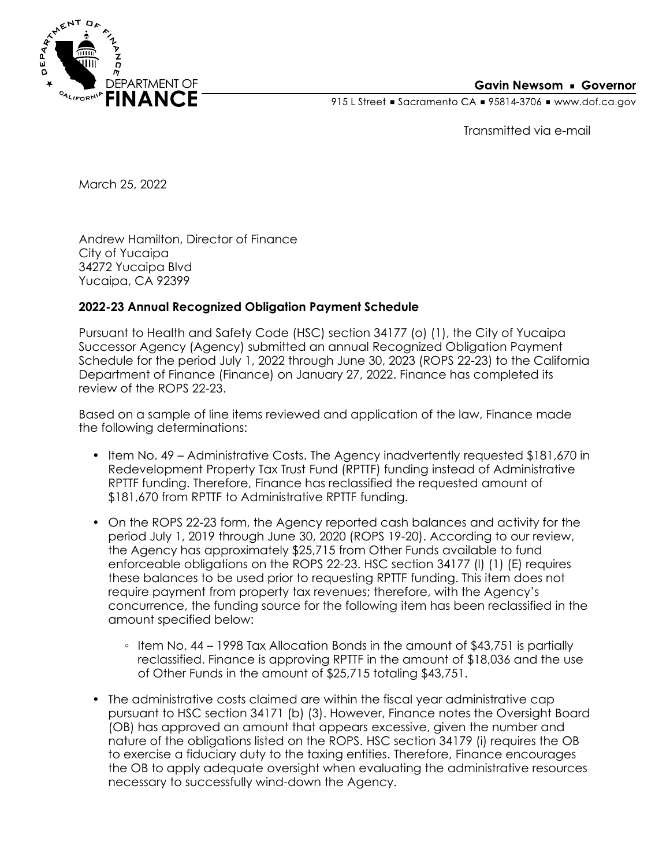

#### **Gavin Newsom • Governor**

915 L Street Gacramento CA = 95814-3706 Www.dof.ca.gov

Transmitted via e-mail

March 25, 2022

Andrew Hamilton, Director of Finance City of Yucaipa 34272 Yucaipa Blvd Yucaipa, CA 92399

#### **2022-23 Annual Recognized Obligation Payment Schedule**

Pursuant to Health and Safety Code (HSC) section 34177 (o) (1), the City of Yucaipa Successor Agency (Agency) submitted an annual Recognized Obligation Payment Schedule for the period July 1, 2022 through June 30, 2023 (ROPS 22-23) to the California Department of Finance (Finance) on January 27, 2022. Finance has completed its review of the ROPS 22-23.

Based on a sample of line items reviewed and application of the law, Finance made the following determinations:

- Item No. 49 Administrative Costs. The Agency inadvertently requested \$181,670 in Redevelopment Property Tax Trust Fund (RPTTF) funding instead of Administrative RPTTF funding. Therefore, Finance has reclassified the requested amount of \$181,670 from RPTTF to Administrative RPTTF funding.
- On the ROPS 22-23 form, the Agency reported cash balances and activity for the period July 1, 2019 through June 30, 2020 (ROPS 19-20). According to our review, the Agency has approximately \$25,715 from Other Funds available to fund enforceable obligations on the ROPS 22-23. HSC section 34177 (l) (1) (E) requires these balances to be used prior to requesting RPTTF funding. This item does not require payment from property tax revenues; therefore, with the Agency's concurrence, the funding source for the following item has been reclassified in the amount specified below:
	- Item No. 44 1998 Tax Allocation Bonds in the amount of \$43,751 is partially reclassified. Finance is approving RPTTF in the amount of \$18,036 and the use of Other Funds in the amount of \$25,715 totaling \$43,751.
- The administrative costs claimed are within the fiscal year administrative cap pursuant to HSC section 34171 (b) (3). However, Finance notes the Oversight Board (OB) has approved an amount that appears excessive, given the number and nature of the obligations listed on the ROPS. HSC section 34179 (i) requires the OB to exercise a fiduciary duty to the taxing entities. Therefore, Finance encourages the OB to apply adequate oversight when evaluating the administrative resources necessary to successfully wind-down the Agency.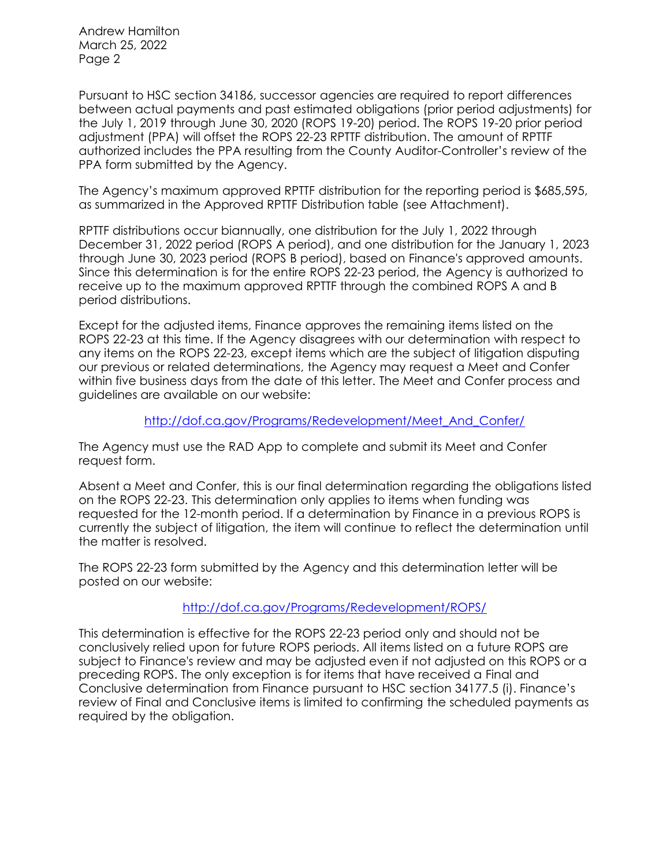Andrew Hamilton March 25, 2022 Page 2

Pursuant to HSC section 34186, successor agencies are required to report differences between actual payments and past estimated obligations (prior period adjustments) for the July 1, 2019 through June 30, 2020 (ROPS 19-20) period. The ROPS 19-20 prior period adjustment (PPA) will offset the ROPS 22-23 RPTTF distribution. The amount of RPTTF authorized includes the PPA resulting from the County Auditor-Controller's review of the PPA form submitted by the Agency.

The Agency's maximum approved RPTTF distribution for the reporting period is \$685,595, as summarized in the Approved RPTTF Distribution table (see Attachment).

RPTTF distributions occur biannually, one distribution for the July 1, 2022 through December 31, 2022 period (ROPS A period), and one distribution for the January 1, 2023 through June 30, 2023 period (ROPS B period), based on Finance's approved amounts. Since this determination is for the entire ROPS 22-23 period, the Agency is authorized to receive up to the maximum approved RPTTF through the combined ROPS A and B period distributions.

Except for the adjusted items, Finance approves the remaining items listed on the ROPS 22-23 at this time. If the Agency disagrees with our determination with respect to any items on the ROPS 22-23, except items which are the subject of litigation disputing our previous or related determinations, the Agency may request a Meet and Confer within five business days from the date of this letter. The Meet and Confer process and guidelines are available on our website:

# [http://dof.ca.gov/Programs/Redevelopment/Meet\\_And\\_Confer/](http://dof.ca.gov/Programs/Redevelopment/Meet_And_Confer/)

The Agency must use the RAD App to complete and submit its Meet and Confer request form.

Absent a Meet and Confer, this is our final determination regarding the obligations listed on the ROPS 22-23. This determination only applies to items when funding was requested for the 12-month period. If a determination by Finance in a previous ROPS is currently the subject of litigation, the item will continue to reflect the determination until the matter is resolved.

The ROPS 22-23 form submitted by the Agency and this determination letter will be posted on our website:

# <http://dof.ca.gov/Programs/Redevelopment/ROPS/>

This determination is effective for the ROPS 22-23 period only and should not be conclusively relied upon for future ROPS periods. All items listed on a future ROPS are subject to Finance's review and may be adjusted even if not adjusted on this ROPS or a preceding ROPS. The only exception is for items that have received a Final and Conclusive determination from Finance pursuant to HSC section 34177.5 (i). Finance's review of Final and Conclusive items is limited to confirming the scheduled payments as required by the obligation.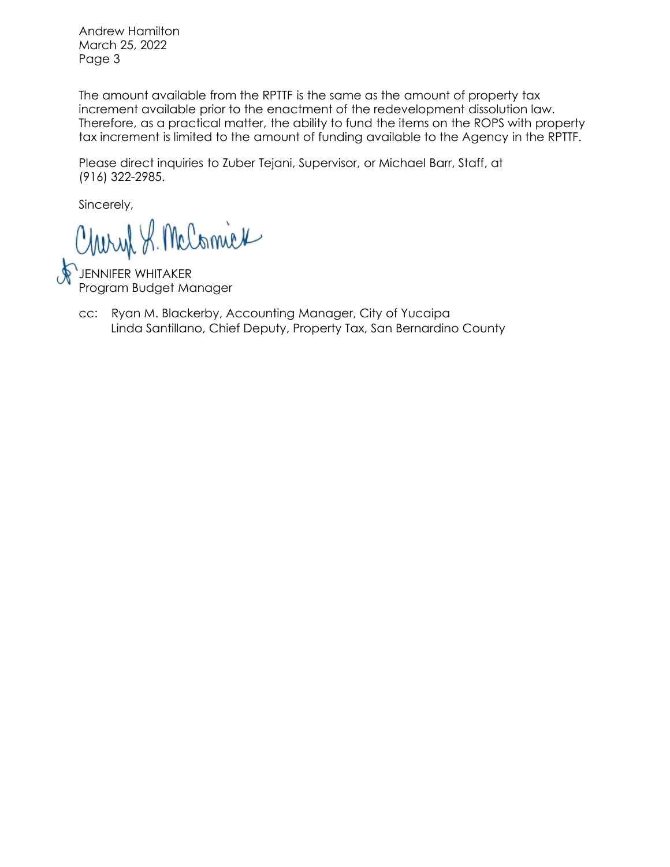Andrew Hamilton March 25, 2022 Page 3

The amount available from the RPTTF is the same as the amount of property tax increment available prior to the enactment of the redevelopment dissolution law. Therefore, as a practical matter, the ability to fund the items on the ROPS with property tax increment is limited to the amount of funding available to the Agency in the RPTTF.

Please direct inquiries to Zuber Tejani, Supervisor, or Michael Barr, Staff, at (916) 322-2985.

Sincerely,

Charyl S. McComick

JENNIFER WHITAKER Program Budget Manager

Linda Santillano, Chief Deputy, Property Tax, San Bernardino County cc: Ryan M. Blackerby, Accounting Manager, City of Yucaipa